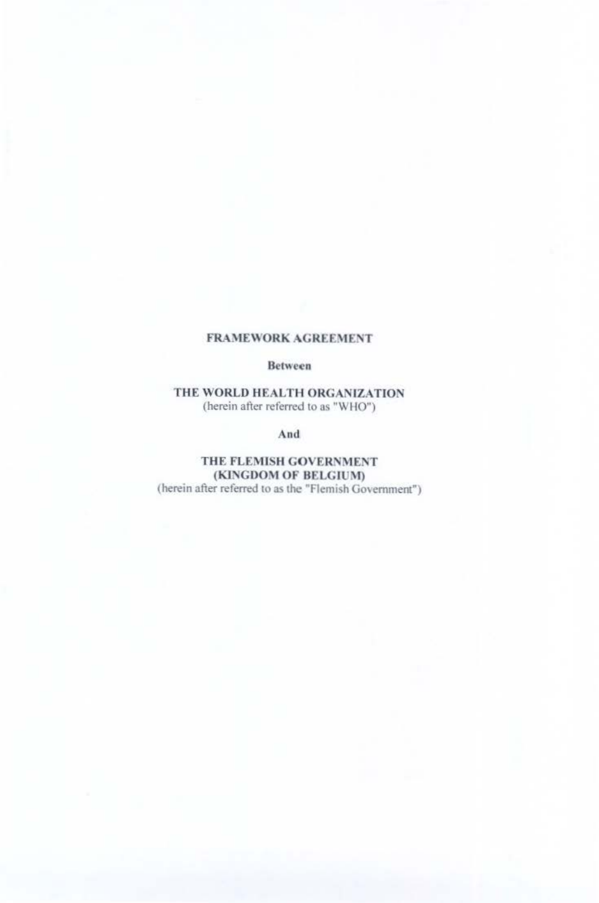# FRAMEWORK AGREEMENT

**Between** 

THE WORLD HEALTH ORGANIZATION (herein after referred to as "WHO")

And

THE FLEMISH GOVERNMENT (KINGDOM OF BELGIUM) (herein after referred to as the "Flemish Government")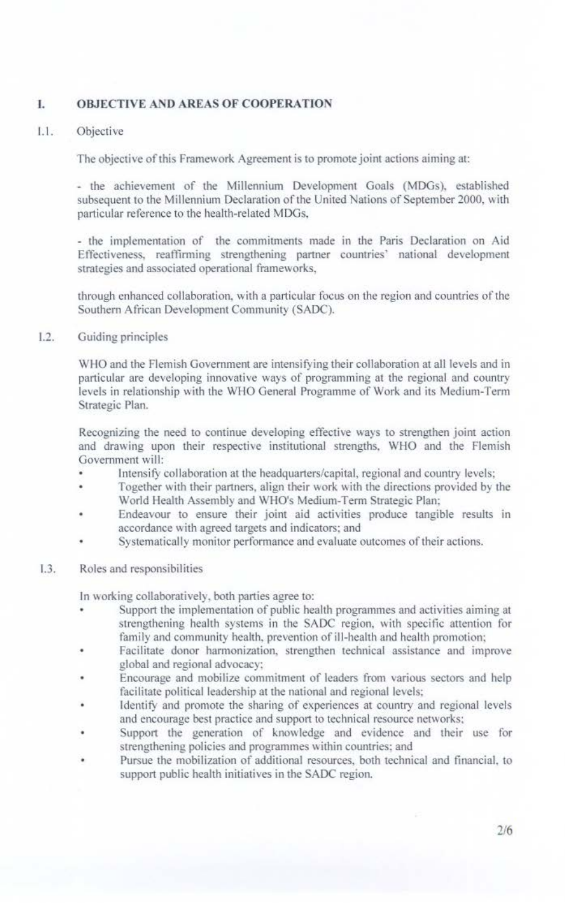# I. OBJECTIVE AND AREAS OF COOPERATION

# l.I. Objective

The objective of this Framework Agreement is to promote joint actions aiming at:

- the achievemem of the Millennium Developrnent Goals (MDGs), established subsequent to the Millennium Declaration of the United Nations of September 2000, with particular reference to the health-related MDGs,

- the implementation of the commitments made in the Paris Declaration on Aid Effectiveness, reaffirming strengthening partner countries' national development strategies and associated operational frameworks,

through enhanced collaboration, with a particular focus on the region and countries of the Southern African Development Community (SADC).

1.2. Guiding principlcs

WHO and the Flemish Government are intensifying their collaboration at all levels and in particular are developing innovative ways of programming at the regional and country levels in relationship with the WHO General Programme of Work and its Medium-Term Strategie Plan.

Recognizing the need to continue developing effective ways to strengthen joint action and drawing upon their respective institutional strengths, WHO and the Flemish Govemment will:

- Intensify collaboration at the headquarters/capital, regional and country levels;
- Together with their partners, align their work with the directions provided by the ٠ World Health Assembly and WHO's Medium-Term Strategic Plan:
- Endeavour to ensure their joint aid activities produce tangible results in accordance with agreed targets and indicators; and
- Systematically monitor performance and evaluate outcomes of their actions.
- 1.3. Roles and responsibilities

In working collaboratively. both parties agree to:

- Support the implementation of public health programmes and activities aiming at strengthening health systems in the SADC region, with specific attention for family and community health, prevention of ill-health and health promotion;
- Facilitate donor harmonization, strengthen technical assistance and improve global and regionat advocacy;
- Encourage and mobilize commitment of leaders from various sectors and help facilitate political leadership at the national and regional levels;
- ldentify and promote the sharing of experiences at country and regionat levels and encourage best practice and support to technical resource networks;
- Support the generation of knowledge and evidence and their use for strengthening policies and programmes within countries; and
- Pursue the mobilization of additional resources, both technical and financial, to ¥ support public health initiatives in the SADC region.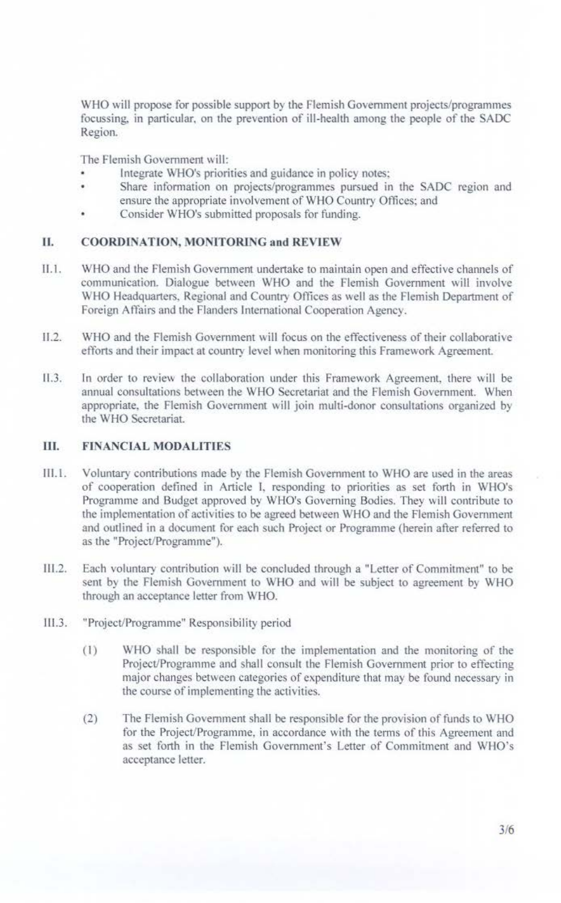WHO will propose for possible support by the Flemish Government projects/programmes focussing, in particular, on the prevention of ill-health among the people of the SADC Region.

The Flemish Govemment will:

- lmegrate WHO's priorities and guidance in policy notes;
- Share information on projects/programmes pursued in the SADC region and ensure the appropriate involvement of WHO Country Offices; and
- Consider WHO's submitted proposals for funding.

# II. COORDINATION, MONITORING and REVIEW

- II.1. WHO and the Flemish Government undertake to maintain open and effective channels of communication. Dialogue between WHO and the Flemish Government will involve WHO Headquarters, Regional and Country Offices as well as the Flemish Department of Foreign Affairs and the Flanders International Cooperation Agency.
- 11.2. WHO and the Flemish Govemment will focus on the effectiveness of their collaborative efforts and their impact at country level when monitoring this Framework Agreement.
- 11.3. In order to review the collaboration under this Framework Agreement, there will be annual consultations between the WHO Secretariat and the Flemish Government. When appropriate, the Flemish Govemment will join multi-donor consultations organized by the WHO Secretariat.

## UI. FINANClAL MODALITIES

- 111.1. Voluntary contributions made by the Flemish Government to WHO are used in the areas of cooperation defined in Artiele I, responding to priorities as set fonh in WHO's Programme and Budget approved by WHO's Governing Bodies. They will contribute to the implcmemation of activities to be agreed between WHO and the Flemish Govemment and outlined in a document for each such Project or Programme (herein after referred to as the "Project/Programme").
- 111.2. Each voluntary contribution will be concluded through a "Letter of Commitment" to be sent by the Flemish Government to WHO and will be subject to agreement by WHO through an acceptance letter from WHO.
- III.3. "Project/Programme" Responsibility period
	- ( 1) WHO shall be responsible for the implementation and the monitoring of the Project/Programme and shall consult the Flemish Government prior to effecting major changes between categories of expenditure that may be found necessary in the course of implementing the activities.
	- (2) The Flemish Govemment shall be responsible for the provision of funds to WHO for the Project/Programme, in accordance with the terms of this Agreement and as set forth in the Flemish Government's Letter of Commitment and WHO's acceptance letter.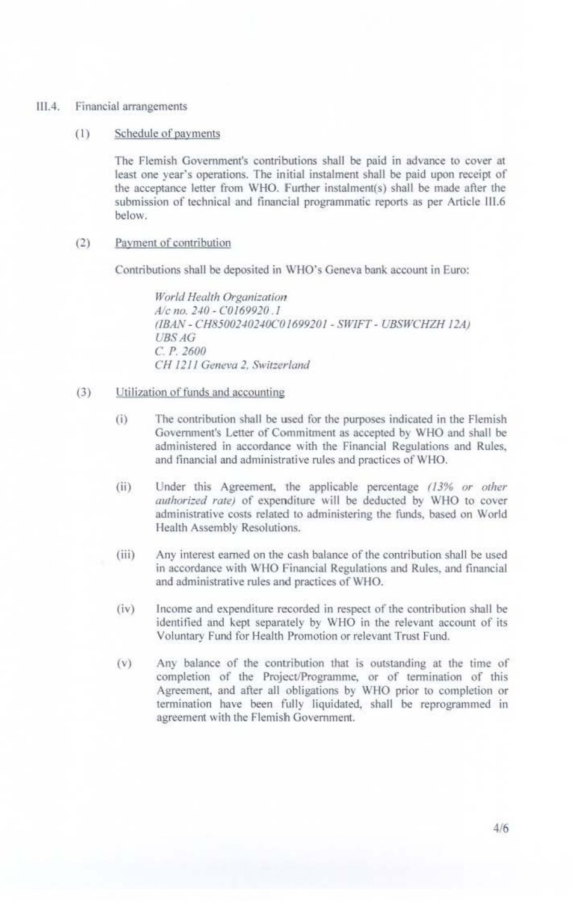### 111.4. Financial arrangements

## ( I) Schedule of payments

The Flemish Government's contributions shall be paid in advance to cover at least one year's operations. The initial instalment shall be paid upon receipt of the acceptance letter from WHO. Further instalment(s) shall be made after the submission of technical and financial programmatic reports as per Article III.6 below.

# (2) Payment of contribution

Contributions shall be deposited in WHO"s Geneva bank account in Euro:

*World Health ()rganization Ale no. 2-10- C0/69920.* I *(/BAN - CH85002./02./0C"0/69920/ -SWJFT- UBSWCHZH 12AJ UBSAG C. P. 2600 CH 1211 Geneva 2. Switzerland* 

### (3) Utilization of funds and accounting

- (i) The contribution shall be used for the purposes indicated in the Flemish Government's Letter of Commitment as accepted by WHO and shall be administercd in accordance with the Financial Regulations and Rules, and financial and administrative rules and practices of WHO.
- (ii) Under this Agreement. the applicable percentage *(13% or other authorized rate)* of expenditure will be deducted by WHO to cover administrative costs related to administering the funds, based on World Health Assembly Resolutions.
- (iii) Any interest earned on the cash balance of the contribution shall be used in accordance with WHO Financial Regulations and Rules. and financial and administrative rules and practices of WHO.
- (iv) Income and expenditure recorded in respect of the contribution shall be identified and kept separately by WHO in the relevant account of its Voluntary Fund for Health Promotion or relevant Trust Fund.
- (v) Any balance of the contribution that is outstanding at the time of completion of the Project/Programme, or of terminstion of this Agreement, and after all obligations by WHO prior to completion or termination have been fully liquidated, shall be reprogrammed in agreement with the Flemish Government.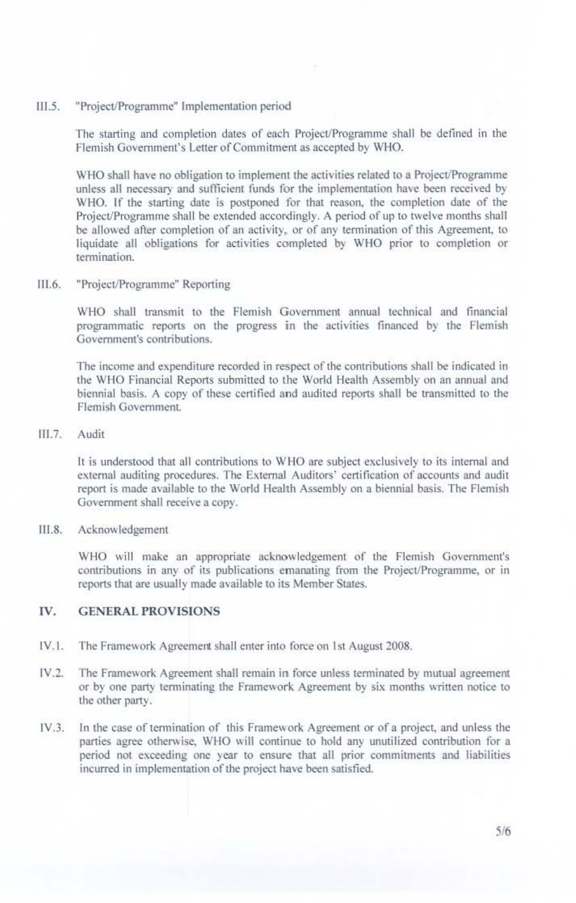### 111.5. "Project/Programme" lmplementation period

The starting and completion dates of each Project/Programme shall be defined in the Flemish Government's Letter of Commitment as accepted by WHO.

WHO shall have no obligation to implement the activities related to a Project/Programme unless all necessary and sufficient funds for the implementation have been received by WHO. If the starting date is postponed for that reason, the completion date of the Project/Programme shall be extended accordingly. A period of up to twelve months shall be allowed a fier completion of an activity. or of any terminstion of this Agreement. to liquidate all obligations for activities completed by WHO prior to completion or termination.

111.6. "Project/Programme" Reporting

WHO shall transmit to the Flemish Government annual technical and financial programmatic repons on the progress in the activities financed by the Flemish Government's contributions.

The income and expenditure recorded in respect of the contributions shall be indicated in the WHO Financial Reports submitted to the World Health Assembly on an annual and biennial basis. A copy of these certified and audited reports shall be transmitted to the Flemish Government.

111.7. Audit

lt is understood that all contributions to WHO are subject exclusively to its intemal and external auditing procedures. The External Auditors' certification of accounts and audit report is made available to the World Health Assembly on a biennial basis. The Flemish Govemment shall receive a copy.

111.8. Acknowledgement

WHO will make an appropriate acknowledgement of the Flemish Government's contributions in any of its publications emanating from the Project/Programme, or in reports that are usually made available to its Member States.

# IV. GENERAL PROVISIONS

- IV.1. The Framework Agreement shall enter into force on 1st August 2008.
- IV.2. The Framework Agreement shall remain in force unless terminated by mutual agreement or by one party tenninating the Framework Agreement by six months wrinen notice to the other party.
- IV.3. In the case of terminalion of this Framework Agreement or of a project, and unless the parties agree otherwise, WHO will continue to hold any unutilized contribution for a period nor excceding one year to ensure that all prior commitments and liabilities incurred in implementation of the project have been satisfied.